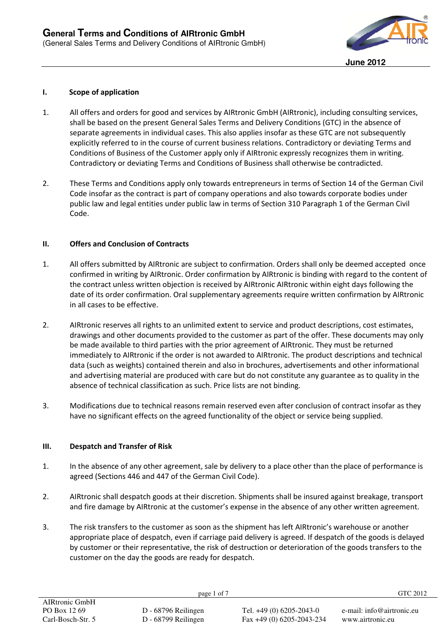

## **I. Scope of application**

- 1. All offers and orders for good and services by AIRtronic GmbH (AIRtronic), including consulting services, shall be based on the present General Sales Terms and Delivery Conditions (GTC) in the absence of separate agreements in individual cases. This also applies insofar as these GTC are not subsequently explicitly referred to in the course of current business relations. Contradictory or deviating Terms and Conditions of Business of the Customer apply only if AIRtronic expressly recognizes them in writing. Contradictory or deviating Terms and Conditions of Business shall otherwise be contradicted.
- 2. These Terms and Conditions apply only towards entrepreneurs in terms of Section 14 of the German Civil Code insofar as the contract is part of company operations and also towards corporate bodies under public law and legal entities under public law in terms of Section 310 Paragraph 1 of the German Civil Code.

## **II. Offers and Conclusion of Contracts**

- 1. All offers submitted by AIRtronic are subject to confirmation. Orders shall only be deemed accepted once confirmed in writing by AIRtronic. Order confirmation by AIRtronic is binding with regard to the content of the contract unless written objection is received by AIRtronic AIRtronic within eight days following the date of its order confirmation. Oral supplementary agreements require written confirmation by AIRtronic in all cases to be effective.
- 2. AIRtronic reserves all rights to an unlimited extent to service and product descriptions, cost estimates, drawings and other documents provided to the customer as part of the offer. These documents may only be made available to third parties with the prior agreement of AIRtronic. They must be returned immediately to AIRtronic if the order is not awarded to AIRtronic. The product descriptions and technical data (such as weights) contained therein and also in brochures, advertisements and other informational and advertising material are produced with care but do not constitute any guarantee as to quality in the absence of technical classification as such. Price lists are not binding.
- 3. Modifications due to technical reasons remain reserved even after conclusion of contract insofar as they have no significant effects on the agreed functionality of the object or service being supplied.

## **III. Despatch and Transfer of Risk**

- 1. In the absence of any other agreement, sale by delivery to a place other than the place of performance is agreed (Sections 446 and 447 of the German Civil Code).
- 2. AIRtronic shall despatch goods at their discretion. Shipments shall be insured against breakage, transport and fire damage by AIRtronic at the customer's expense in the absence of any other written agreement.
- 3. The risk transfers to the customer as soon as the shipment has left AIRtronic's warehouse or another appropriate place of despatch, even if carriage paid delivery is agreed. If despatch of the goods is delayed by customer or their representative, the risk of destruction or deterioration of the goods transfers to the customer on the day the goods are ready for despatch.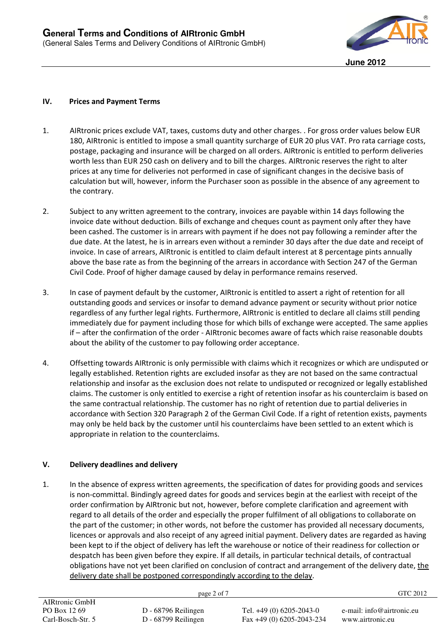

## **IV. Prices and Payment Terms**

- 1. AIRtronic prices exclude VAT, taxes, customs duty and other charges. . For gross order values below EUR 180, AIRtronic is entitled to impose a small quantity surcharge of EUR 20 plus VAT. Pro rata carriage costs, postage, packaging and insurance will be charged on all orders. AIRtronic is entitled to perform deliveries worth less than EUR 250 cash on delivery and to bill the charges. AIRtronic reserves the right to alter prices at any time for deliveries not performed in case of significant changes in the decisive basis of calculation but will, however, inform the Purchaser soon as possible in the absence of any agreement to the contrary.
- 2. Subject to any written agreement to the contrary, invoices are payable within 14 days following the invoice date without deduction. Bills of exchange and cheques count as payment only after they have been cashed. The customer is in arrears with payment if he does not pay following a reminder after the due date. At the latest, he is in arrears even without a reminder 30 days after the due date and receipt of invoice. In case of arrears, AIRtronic is entitled to claim default interest at 8 percentage pints annually above the base rate as from the beginning of the arrears in accordance with Section 247 of the German Civil Code. Proof of higher damage caused by delay in performance remains reserved.
- 3. In case of payment default by the customer, AIRtronic is entitled to assert a right of retention for all outstanding goods and services or insofar to demand advance payment or security without prior notice regardless of any further legal rights. Furthermore, AIRtronic is entitled to declare all claims still pending immediately due for payment including those for which bills of exchange were accepted. The same applies if – after the confirmation of the order - AIRtronic becomes aware of facts which raise reasonable doubts about the ability of the customer to pay following order acceptance.
- 4. Offsetting towards AIRtronic is only permissible with claims which it recognizes or which are undisputed or legally established. Retention rights are excluded insofar as they are not based on the same contractual relationship and insofar as the exclusion does not relate to undisputed or recognized or legally established claims. The customer is only entitled to exercise a right of retention insofar as his counterclaim is based on the same contractual relationship. The customer has no right of retention due to partial deliveries in accordance with Section 320 Paragraph 2 of the German Civil Code. If a right of retention exists, payments may only be held back by the customer until his counterclaims have been settled to an extent which is appropriate in relation to the counterclaims.

## **V. Delivery deadlines and delivery**

1. In the absence of express written agreements, the specification of dates for providing goods and services is non-committal. Bindingly agreed dates for goods and services begin at the earliest with receipt of the order confirmation by AIRtronic but not, however, before complete clarification and agreement with regard to all details of the order and especially the proper fulfilment of all obligations to collaborate on the part of the customer; in other words, not before the customer has provided all necessary documents, licences or approvals and also receipt of any agreed initial payment. Delivery dates are regarded as having been kept to if the object of delivery has left the warehouse or notice of their readiness for collection or despatch has been given before they expire. If all details, in particular technical details, of contractual obligations have not yet been clarified on conclusion of contract and arrangement of the delivery date, the delivery date shall be postponed correspondingly according to the delay.

AIRtronic GmbH PO Box 12 69 Carl-Bosch-Str. 5 D - 68796 Reilingen D - 68799 Reilingen Tel. +49 (0) 6205-2043-0 Fax +49 (0) 6205-2043-234 e-mail: info@airtronic.eu www.airtronic.eu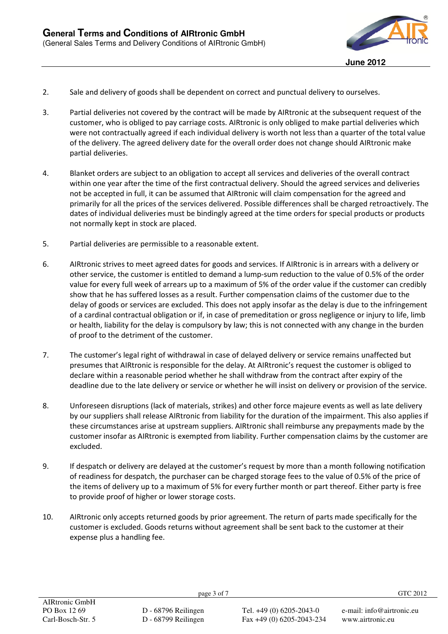

- 2. Sale and delivery of goods shall be dependent on correct and punctual delivery to ourselves.
- 3. Partial deliveries not covered by the contract will be made by AIRtronic at the subsequent request of the customer, who is obliged to pay carriage costs. AIRtronic is only obliged to make partial deliveries which were not contractually agreed if each individual delivery is worth not less than a quarter of the total value of the delivery. The agreed delivery date for the overall order does not change should AIRtronic make partial deliveries.
- 4. Blanket orders are subject to an obligation to accept all services and deliveries of the overall contract within one year after the time of the first contractual delivery. Should the agreed services and deliveries not be accepted in full, it can be assumed that AIRtronic will claim compensation for the agreed and primarily for all the prices of the services delivered. Possible differences shall be charged retroactively. The dates of individual deliveries must be bindingly agreed at the time orders for special products or products not normally kept in stock are placed.
- 5. Partial deliveries are permissible to a reasonable extent.
- 6. AIRtronic strives to meet agreed dates for goods and services. If AIRtronic is in arrears with a delivery or other service, the customer is entitled to demand a lump-sum reduction to the value of 0.5% of the order value for every full week of arrears up to a maximum of 5% of the order value if the customer can credibly show that he has suffered losses as a result. Further compensation claims of the customer due to the delay of goods or services are excluded. This does not apply insofar as the delay is due to the infringement of a cardinal contractual obligation or if, in case of premeditation or gross negligence or injury to life, limb or health, liability for the delay is compulsory by law; this is not connected with any change in the burden of proof to the detriment of the customer.
- 7. The customer's legal right of withdrawal in case of delayed delivery or service remains unaffected but presumes that AIRtronic is responsible for the delay. At AIRtronic's request the customer is obliged to declare within a reasonable period whether he shall withdraw from the contract after expiry of the deadline due to the late delivery or service or whether he will insist on delivery or provision of the service.
- 8. Unforeseen disruptions (lack of materials, strikes) and other force majeure events as well as late delivery by our suppliers shall release AIRtronic from liability for the duration of the impairment. This also applies if these circumstances arise at upstream suppliers. AIRtronic shall reimburse any prepayments made by the customer insofar as AIRtronic is exempted from liability. Further compensation claims by the customer are excluded.
- 9. If despatch or delivery are delayed at the customer's request by more than a month following notification of readiness for despatch, the purchaser can be charged storage fees to the value of 0.5% of the price of the items of delivery up to a maximum of 5% for every further month or part thereof. Either party is free to provide proof of higher or lower storage costs.
- 10. AIRtronic only accepts returned goods by prior agreement. The return of parts made specifically for the customer is excluded. Goods returns without agreement shall be sent back to the customer at their expense plus a handling fee.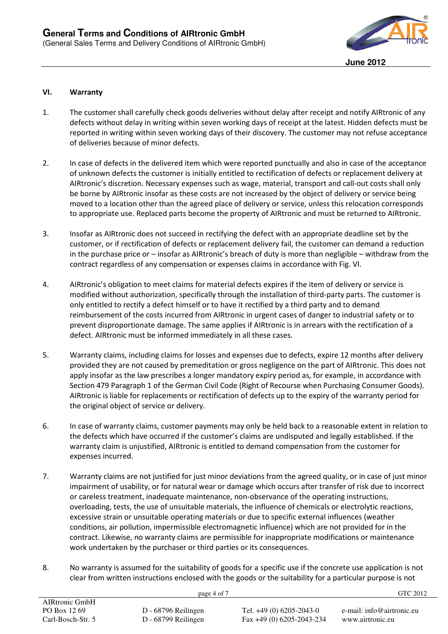

#### **VI. Warranty**

- 1. The customer shall carefully check goods deliveries without delay after receipt and notify AIRtronic of any defects without delay in writing within seven working days of receipt at the latest. Hidden defects must be reported in writing within seven working days of their discovery. The customer may not refuse acceptance of deliveries because of minor defects.
- 2. In case of defects in the delivered item which were reported punctually and also in case of the acceptance of unknown defects the customer is initially entitled to rectification of defects or replacement delivery at AIRtronic's discretion. Necessary expenses such as wage, material, transport and call-out costs shall only be borne by AIRtronic insofar as these costs are not increased by the object of delivery or service being moved to a location other than the agreed place of delivery or service, unless this relocation corresponds to appropriate use. Replaced parts become the property of AIRtronic and must be returned to AIRtronic.
- 3. Insofar as AIRtronic does not succeed in rectifying the defect with an appropriate deadline set by the customer, or if rectification of defects or replacement delivery fail, the customer can demand a reduction in the purchase price or – insofar as AIRtronic's breach of duty is more than negligible – withdraw from the contract regardless of any compensation or expenses claims in accordance with Fig. VI.
- 4. AIRtronic's obligation to meet claims for material defects expires if the item of delivery or service is modified without authorization, specifically through the installation of third-party parts. The customer is only entitled to rectify a defect himself or to have it rectified by a third party and to demand reimbursement of the costs incurred from AIRtronic in urgent cases of danger to industrial safety or to prevent disproportionate damage. The same applies if AIRtronic is in arrears with the rectification of a defect. AIRtronic must be informed immediately in all these cases.
- 5. Warranty claims, including claims for losses and expenses due to defects, expire 12 months after delivery provided they are not caused by premeditation or gross negligence on the part of AIRtronic. This does not apply insofar as the law prescribes a longer mandatory expiry period as, for example, in accordance with Section 479 Paragraph 1 of the German Civil Code (Right of Recourse when Purchasing Consumer Goods). AIRtronic is liable for replacements or rectification of defects up to the expiry of the warranty period for the original object of service or delivery.
- 6. In case of warranty claims, customer payments may only be held back to a reasonable extent in relation to the defects which have occurred if the customer's claims are undisputed and legally established. If the warranty claim is unjustified, AIRtronic is entitled to demand compensation from the customer for expenses incurred.
- 7. Warranty claims are not justified for just minor deviations from the agreed quality, or in case of just minor impairment of usability, or for natural wear or damage which occurs after transfer of risk due to incorrect or careless treatment, inadequate maintenance, non-observance of the operating instructions, overloading, tests, the use of unsuitable materials, the influence of chemicals or electrolytic reactions, excessive strain or unsuitable operating materials or due to specific external influences (weather conditions, air pollution, impermissible electromagnetic influence) which are not provided for in the contract. Likewise, no warranty claims are permissible for inappropriate modifications or maintenance work undertaken by the purchaser or third parties or its consequences.
- 8. No warranty is assumed for the suitability of goods for a specific use if the concrete use application is not clear from written instructions enclosed with the goods or the suitability for a particular purpose is not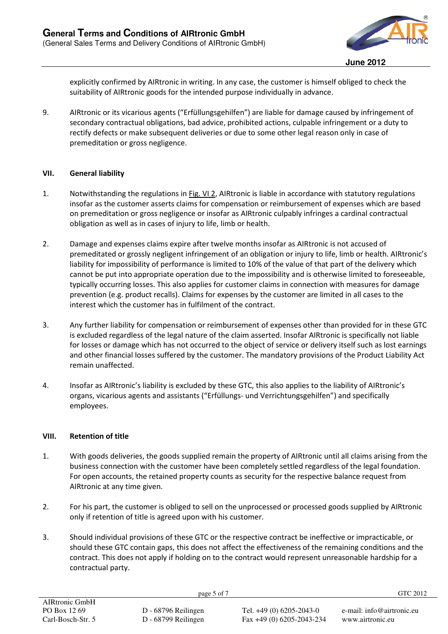

explicitly confirmed by AIRtronic in writing. In any case, the customer is himself obliged to check the suitability of AIRtronic goods for the intended purpose individually in advance.

9. AIRtronic or its vicarious agents ("Erfüllungsgehilfen") are liable for damage caused by infringement of secondary contractual obligations, bad advice, prohibited actions, culpable infringement or a duty to rectify defects or make subsequent deliveries or due to some other legal reason only in case of premeditation or gross negligence.

## **VII. General liability**

- 1. Notwithstanding the regulations in Fig. VI 2, AIRtronic is liable in accordance with statutory regulations insofar as the customer asserts claims for compensation or reimbursement of expenses which are based on premeditation or gross negligence or insofar as AIRtronic culpably infringes a cardinal contractual obligation as well as in cases of injury to life, limb or health.
- 2. Damage and expenses claims expire after twelve months insofar as AIRtronic is not accused of premeditated or grossly negligent infringement of an obligation or injury to life, limb or health. AIRtronic's liability for impossibility of performance is limited to 10% of the value of that part of the delivery which cannot be put into appropriate operation due to the impossibility and is otherwise limited to foreseeable, typically occurring losses. This also applies for customer claims in connection with measures for damage prevention (e.g. product recalls). Claims for expenses by the customer are limited in all cases to the interest which the customer has in fulfilment of the contract.
- 3. Any further liability for compensation or reimbursement of expenses other than provided for in these GTC is excluded regardless of the legal nature of the claim asserted. Insofar AIRtronic is specifically not liable for losses or damage which has not occurred to the object of service or delivery itself such as lost earnings and other financial losses suffered by the customer. The mandatory provisions of the Product Liability Act remain unaffected.
- 4. Insofar as AIRtronic's liability is excluded by these GTC, this also applies to the liability of AIRtronic's organs, vicarious agents and assistants ("Erfüllungs- und Verrichtungsgehilfen") and specifically employees.

# **VIII. Retention of title**

- 1. With goods deliveries, the goods supplied remain the property of AIRtronic until all claims arising from the business connection with the customer have been completely settled regardless of the legal foundation. For open accounts, the retained property counts as security for the respective balance request from AIRtronic at any time given.
- 2. For his part, the customer is obliged to sell on the unprocessed or processed goods supplied by AIRtronic only if retention of title is agreed upon with his customer.
- 3. Should individual provisions of these GTC or the respective contract be ineffective or impracticable, or should these GTC contain gaps, this does not affect the effectiveness of the remaining conditions and the contract. This does not apply if holding on to the contract would represent unreasonable hardship for a contractual party.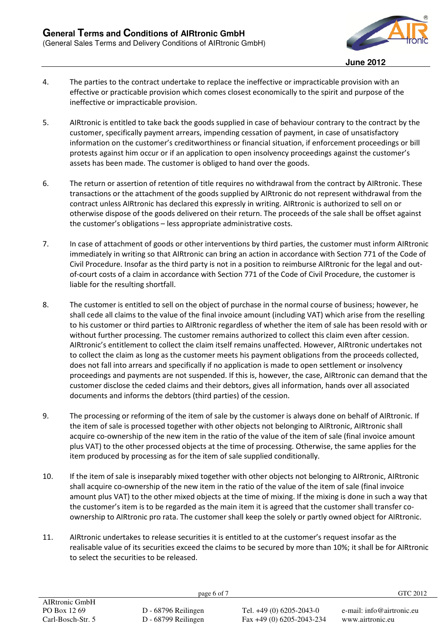

- 4. The parties to the contract undertake to replace the ineffective or impracticable provision with an effective or practicable provision which comes closest economically to the spirit and purpose of the ineffective or impracticable provision.
- 5. AIRtronic is entitled to take back the goods supplied in case of behaviour contrary to the contract by the customer, specifically payment arrears, impending cessation of payment, in case of unsatisfactory information on the customer's creditworthiness or financial situation, if enforcement proceedings or bill protests against him occur or if an application to open insolvency proceedings against the customer's assets has been made. The customer is obliged to hand over the goods.
- 6. The return or assertion of retention of title requires no withdrawal from the contract by AIRtronic. These transactions or the attachment of the goods supplied by AIRtronic do not represent withdrawal from the contract unless AIRtronic has declared this expressly in writing. AIRtronic is authorized to sell on or otherwise dispose of the goods delivered on their return. The proceeds of the sale shall be offset against the customer's obligations – less appropriate administrative costs.
- 7. In case of attachment of goods or other interventions by third parties, the customer must inform AIRtronic immediately in writing so that AIRtronic can bring an action in accordance with Section 771 of the Code of Civil Procedure. Insofar as the third party is not in a position to reimburse AIRtronic for the legal and outof-court costs of a claim in accordance with Section 771 of the Code of Civil Procedure, the customer is liable for the resulting shortfall.
- 8. The customer is entitled to sell on the object of purchase in the normal course of business; however, he shall cede all claims to the value of the final invoice amount (including VAT) which arise from the reselling to his customer or third parties to AIRtronic regardless of whether the item of sale has been resold with or without further processing. The customer remains authorized to collect this claim even after cession. AIRtronic's entitlement to collect the claim itself remains unaffected. However, AIRtronic undertakes not to collect the claim as long as the customer meets his payment obligations from the proceeds collected, does not fall into arrears and specifically if no application is made to open settlement or insolvency proceedings and payments are not suspended. If this is, however, the case, AIRtronic can demand that the customer disclose the ceded claims and their debtors, gives all information, hands over all associated documents and informs the debtors (third parties) of the cession.
- 9. The processing or reforming of the item of sale by the customer is always done on behalf of AIRtronic. If the item of sale is processed together with other objects not belonging to AIRtronic, AIRtronic shall acquire co-ownership of the new item in the ratio of the value of the item of sale (final invoice amount plus VAT) to the other processed objects at the time of processing. Otherwise, the same applies for the item produced by processing as for the item of sale supplied conditionally.
- 10. If the item of sale is inseparably mixed together with other objects not belonging to AIRtronic, AIRtronic shall acquire co-ownership of the new item in the ratio of the value of the item of sale (final invoice amount plus VAT) to the other mixed objects at the time of mixing. If the mixing is done in such a way that the customer's item is to be regarded as the main item it is agreed that the customer shall transfer coownership to AIRtronic pro rata. The customer shall keep the solely or partly owned object for AIRtronic.
- 11. AIRtronic undertakes to release securities it is entitled to at the customer's request insofar as the realisable value of its securities exceed the claims to be secured by more than 10%; it shall be for AIRtronic to select the securities to be released.